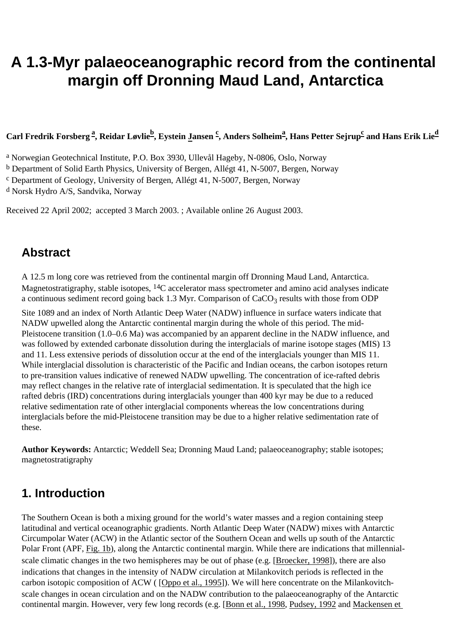# <span id="page-0-0"></span>**A 1.3-Myr palaeoceanographic record from the continental margin off Dronning Maud Land, Antarctica**

#### **Carl Fredrik Forsberg [a](#page-0-0) , Reidar Løvlie[b](#page-0-0) , Eystein [Ja](#page-0-0)nsen [c](#page-0-0) , Anders Solheim[a](#page-0-0) , Hans Petter Sejrup[c](#page-0-0) and Hans Erik Lie[d](#page-0-0)**

a Norwegian Geotechnical Institute, P.O. Box 3930, Ullevål Hageby, N-0806, Oslo, Norway

b Department of Solid Earth Physics, University of Bergen, Allégt 41, N-5007, Bergen, Norway

c Department of Geology, University of Bergen, Allégt 41, N-5007, Bergen, Norway

d Norsk Hydro A/S, Sandvika, Norway

Received 22 April 2002; accepted 3 March 2003. ; Available online 26 August 2003.

### **Abstract**

A 12.5 m long core was retrieved from the continental margin off Dronning Maud Land, Antarctica. Magnetostratigraphy, stable isotopes, 14C accelerator mass spectrometer and amino acid analyses indicate a continuous sediment record going back 1.3 Myr. Comparison of  $CaCO<sub>3</sub>$  results with those from ODP

Site 1089 and an index of North Atlantic Deep Water (NADW) influence in surface waters indicate that NADW upwelled along the Antarctic continental margin during the whole of this period. The mid-Pleistocene transition (1.0–0.6 Ma) was accompanied by an apparent decline in the NADW influence, and was followed by extended carbonate dissolution during the interglacials of marine isotope stages (MIS) 13 and 11. Less extensive periods of dissolution occur at the end of the interglacials younger than MIS 11. While interglacial dissolution is characteristic of the Pacific and Indian oceans, the carbon isotopes return to pre-transition values indicative of renewed NADW upwelling. The concentration of ice-rafted debris may reflect changes in the relative rate of interglacial sedimentation. It is speculated that the high ice rafted debris (IRD) concentrations during interglacials younger than 400 kyr may be due to a reduced relative sedimentation rate of other interglacial components whereas the low concentrations during interglacials before the mid-Pleistocene transition may be due to a higher relative sedimentation rate of these.

**Author Keywords:** Antarctic; Weddell Sea; Dronning Maud Land; palaeoceanography; stable isotopes; magnetostratigraphy

### **1. Introduction**

The Southern Ocean is both a mixing ground for the world's water masses and a region containing steep latitudinal and vertical oceanographic gradients. North Atlantic Deep Water (NADW) mixes with Antarctic Circumpolar Water (ACW) in the Atlantic sector of the Southern Ocean and wells up south of the Antarctic Polar Front (APF, [Fig. 1b](#page-0-0)), along the Antarctic continental margin. While there are indications that millennialscale climatic changes in the two hemispheres may be out of phase (e.g. [[Broecker, 1998](#page-0-0)]), there are also indications that changes in the intensity of NADW circulation at Milankovitch periods is reflected in the carbon isotopic composition of ACW ( [\[Oppo et al., 1995](#page-0-0)]). We will here concentrate on the Milankovitchscale changes in ocean circulation and on the NADW contribution to the palaeoceanography of the Antarctic continental margin. However, very few long records (e.g. [[Bonn et al., 1998](#page-0-0), [Pudsey, 1992](#page-0-0) and [Mackensen et](#page-0-0)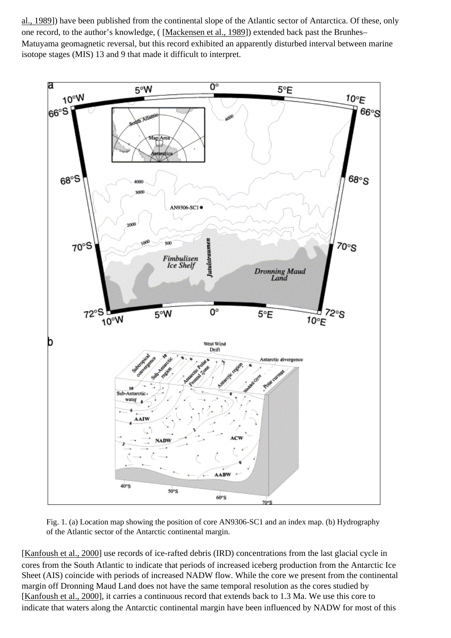[al., 1989](#page-0-0)]) have been published from the continental slope of the Atlantic sector of Antarctica. Of these, only one record, to the author's knowledge, ( [\[Mackensen et al., 1989\]](#page-0-0)) extended back past the Brunhes– Matuyama geomagnetic reversal, but this record exhibited an apparently disturbed interval between marine isotope stages (MIS) 13 and 9 that made it difficult to interpret.



Fig. 1. (a) Location map showing the position of core AN9306-SC1 and an index map. (b) Hydrography of the Atlantic sector of the Antarctic continental margin.

[\[Kanfoush et al., 2000](#page-0-0)] use records of ice-rafted debris (IRD) concentrations from the last glacial cycle in cores from the South Atlantic to indicate that periods of increased iceberg production from the Antarctic Ice Sheet (AIS) coincide with periods of increased NADW flow. While the core we present from the continental margin off Dronning Maud Land does not have the same temporal resolution as the cores studied by [\[Kanfoush et al., 2000](#page-0-0)], it carries a continuous record that extends back to 1.3 Ma. We use this core to indicate that waters along the Antarctic continental margin have been influenced by NADW for most of this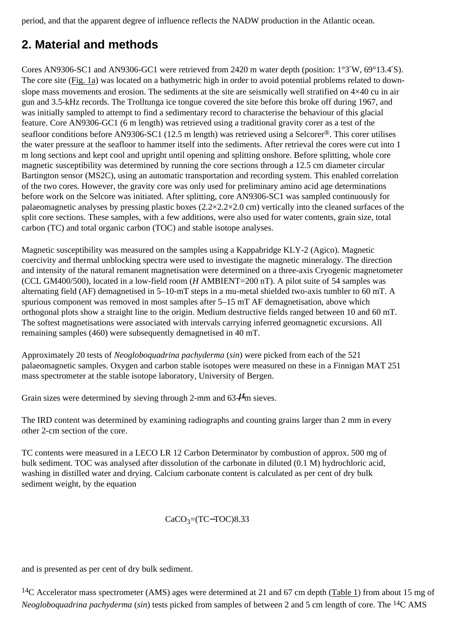period, and that the apparent degree of influence reflects the NADW production in the Atlantic ocean.

# **2. Material and methods**

Cores AN9306-SC1 and AN9306-GC1 were retrieved from 2420 m water depth (position: 1°3′W, 69°13.4′S). The core site [\(Fig. 1a\)](#page-0-0) was located on a bathymetric high in order to avoid potential problems related to downslope mass movements and erosion. The sediments at the site are seismically well stratified on  $4\times40$  cu in air gun and 3.5-kHz records. The Trolltunga ice tongue covered the site before this broke off during 1967, and was initially sampled to attempt to find a sedimentary record to characterise the behaviour of this glacial feature. Core AN9306-GC1 (6 m length) was retrieved using a traditional gravity corer as a test of the seafloor conditions before AN9306-SC1 (12.5 m length) was retrieved using a Selcorer®. This corer utilises the water pressure at the seafloor to hammer itself into the sediments. After retrieval the cores were cut into 1 m long sections and kept cool and upright until opening and splitting onshore. Before splitting, whole core magnetic susceptibility was determined by running the core sections through a 12.5 cm diameter circular Bartington sensor (MS2C), using an automatic transportation and recording system. This enabled correlation of the two cores. However, the gravity core was only used for preliminary amino acid age determinations before work on the Selcore was initiated. After splitting, core AN9306-SC1 was sampled continuously for palaeomagnetic analyses by pressing plastic boxes (2.2×2.2×2.0 cm) vertically into the cleaned surfaces of the split core sections. These samples, with a few additions, were also used for water contents, grain size, total carbon (TC) and total organic carbon (TOC) and stable isotope analyses.

Magnetic susceptibility was measured on the samples using a Kappabridge KLY-2 (Agico). Magnetic coercivity and thermal unblocking spectra were used to investigate the magnetic mineralogy. The direction and intensity of the natural remanent magnetisation were determined on a three-axis Cryogenic magnetometer (CCL GM400/500), located in a low-field room (*H* AMBIENT=200 nT). A pilot suite of 54 samples was alternating field (AF) demagnetised in 5–10-mT steps in a mu-metal shielded two-axis tumbler to 60 mT. A spurious component was removed in most samples after 5–15 mT AF demagnetisation, above which orthogonal plots show a straight line to the origin. Medium destructive fields ranged between 10 and 60 mT. The softest magnetisations were associated with intervals carrying inferred geomagnetic excursions. All remaining samples (460) were subsequently demagnetised in 40 mT.

Approximately 20 tests of *Neogloboquadrina pachyderma* (*sin*) were picked from each of the 521 palaeomagnetic samples. Oxygen and carbon stable isotopes were measured on these in a Finnigan MAT 251 mass spectrometer at the stable isotope laboratory, University of Bergen.

Grain sizes were determined by sieving through 2-mm and  $63-\mu$ m sieves.

The IRD content was determined by examining radiographs and counting grains larger than 2 mm in every other 2-cm section of the core.

TC contents were measured in a LECO LR 12 Carbon Determinator by combustion of approx. 500 mg of bulk sediment. TOC was analysed after dissolution of the carbonate in diluted (0.1 M) hydrochloric acid, washing in distilled water and drying. Calcium carbonate content is calculated as per cent of dry bulk sediment weight, by the equation

#### $CaCO<sub>3</sub>= (TC-TOC)8.33$

and is presented as per cent of dry bulk sediment.

<sup>14</sup>C Accelerator mass spectrometer (AMS) ages were determined at 21 and 67 cm depth ([Table 1](#page-0-0)) from about 15 mg of *Neogloboquadrina pachyderma* (*sin*) tests picked from samples of between 2 and 5 cm length of core. The 14C AMS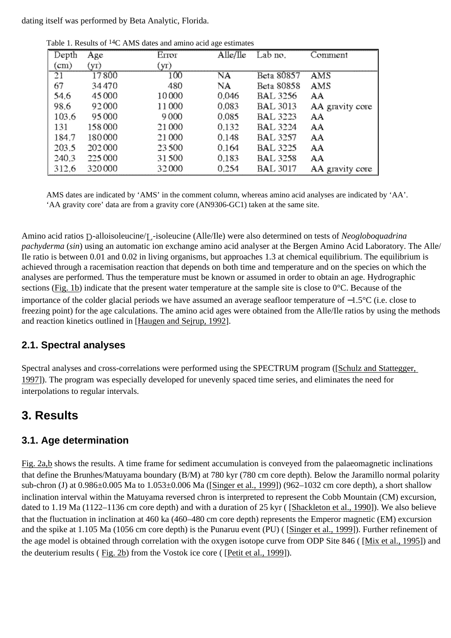dating itself was performed by Beta Analytic, Florida.

| Depth           | Age    | Error  | Alle/lle | Lab no.         | Comment         |
|-----------------|--------|--------|----------|-----------------|-----------------|
| $\rm (cm)$      | (yT)   | (yr)   |          |                 |                 |
| $\overline{21}$ | 17800  | 100    | NA       | Beta 80857      | AMS             |
| 67              | 34470  | 480    | NA       | Beta 80858      | AMS             |
| 54.6            | 45000  | 10000  | 0.046    | <b>BAL 3256</b> | AA              |
| 98.6            | 92000  | 11 000 | 0.083    | <b>BAL 3013</b> | AA gravity core |
| 103.6           | 95000  | 9000   | 0.085    | <b>BAL 3223</b> | AA              |
| 131             | 158000 | 21000  | 0.132    | <b>BAL 3224</b> | AA              |
| 184.7           | 180000 | 21 000 | 0.148    | <b>BAL 3257</b> | AA              |
| 203.5           | 202000 | 23500  | 0.164    | <b>BAL 3225</b> | AA              |
| 240.3           | 225000 | 31500  | 0.183    | <b>BAL 3258</b> | AA              |
| 312.6           | 320000 | 32000  | 0.254    | <b>BAL 3017</b> | AA gravity core |

Table 1. Results of <sup>14</sup>C AMS dates and amino acid age estimates

AMS dates are indicated by 'AMS' in the comment column, whereas amino acid analyses are indicated by 'AA'. 'AA gravity core' data are from a gravity core (AN9306-GC1) taken at the same site.

Amino acid ratios D-alloisoleucine/L-isoleucine (Alle/Ile) were also determined on tests of *Neogloboquadrina pachyderma* (*sin*) using an automatic ion exchange amino acid analyser at the Bergen Amino Acid Laboratory. The Alle/ Ile ratio is between 0.01 and 0.02 in living organisms, but approaches 1.3 at chemical equilibrium. The equilibrium is achieved through a racemisation reaction that depends on both time and temperature and on the species on which the analyses are performed. Thus the temperature must be known or assumed in order to obtain an age. Hydrographic sections [\(Fig. 1b](#page-0-0)) indicate that the present water temperature at the sample site is close to 0°C. Because of the importance of the colder glacial periods we have assumed an average seafloor temperature of −1.5°C (i.e. close to freezing point) for the age calculations. The amino acid ages were obtained from the Alle/Ile ratios by using the methods and reaction kinetics outlined in [[Haugen and Sejrup, 1992](#page-0-0)].

### **2.1. Spectral analyses**

Spectral analyses and cross-correlations were performed using the SPECTRUM program ([\[Schulz and Stattegger,](#page-0-0)  [1997](#page-0-0)]). The program was especially developed for unevenly spaced time series, and eliminates the need for interpolations to regular intervals.

### **3. Results**

### **3.1. Age determination**

[Fig. 2a,b](#page-0-0) shows the results. A time frame for sediment accumulation is conveyed from the palaeomagnetic inclinations that define the Brunhes/Matuyama boundary (B/M) at 780 kyr (780 cm core depth). Below the Jaramillo normal polarity sub-chron (J) at 0.986±0.005 Ma to 1.053±0.006 Ma ([\[Singer et al., 1999\]](#page-0-0)) (962–1032 cm core depth), a short shallow inclination interval within the Matuyama reversed chron is interpreted to represent the Cobb Mountain (CM) excursion, dated to 1.19 Ma (1122–1136 cm core depth) and with a duration of 25 kyr ( [[Shackleton et al., 1990](#page-0-0)]). We also believe that the fluctuation in inclination at 460 ka (460–480 cm core depth) represents the Emperor magnetic (EM) excursion and the spike at 1.105 Ma (1056 cm core depth) is the Punaruu event (PU) ( [[Singer et al., 1999](#page-0-0)]). Further refinement of the age model is obtained through correlation with the oxygen isotope curve from ODP Site 846 ( [\[Mix et al., 1995](#page-0-0)]) and the deuterium results ( [Fig. 2b](#page-0-0)) from the Vostok ice core ( [[Petit et al., 1999](#page-0-0)]).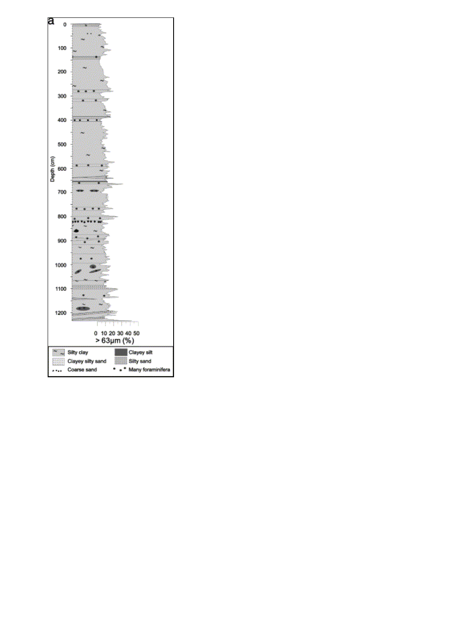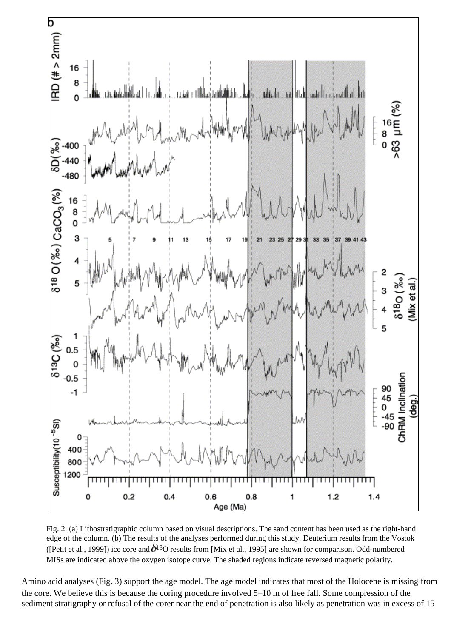

Fig. 2. (a) Lithostratigraphic column based on visual descriptions. The sand content has been used as the right-hand edge of the column. (b) The results of the analyses performed during this study. Deuterium results from the Vostok ([\[Petit et al., 1999](#page-0-0)]) ice core and  $\delta^{18}$ O results from [[Mix et al., 1995\]](#page-0-0) are shown for comparison. Odd-numbered MISs are indicated above the oxygen isotope curve. The shaded regions indicate reversed magnetic polarity.

Amino acid analyses [\(Fig. 3](#page-0-0)) support the age model. The age model indicates that most of the Holocene is missing from the core. We believe this is because the coring procedure involved 5–10 m of free fall. Some compression of the sediment stratigraphy or refusal of the corer near the end of penetration is also likely as penetration was in excess of 15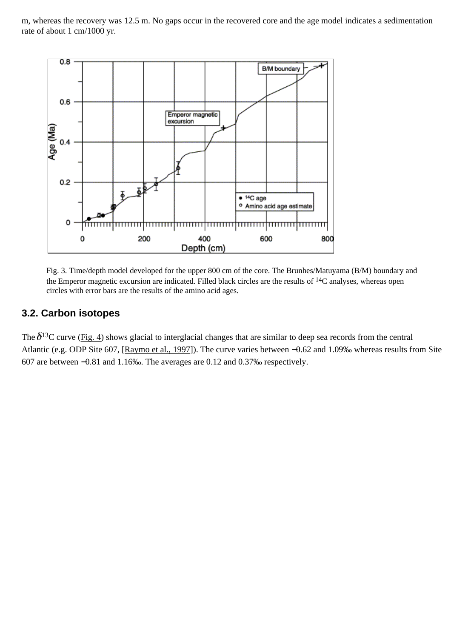m, whereas the recovery was 12.5 m. No gaps occur in the recovered core and the age model indicates a sedimentation rate of about 1 cm/1000 yr.



Fig. 3. Time/depth model developed for the upper 800 cm of the core. The Brunhes/Matuyama (B/M) boundary and the Emperor magnetic excursion are indicated. Filled black circles are the results of  $14C$  analyses, whereas open circles with error bars are the results of the amino acid ages.

#### **3.2. Carbon isotopes**

The  $\delta^{13}$ C curve ([Fig. 4](#page-0-0)) shows glacial to interglacial changes that are similar to deep sea records from the central Atlantic (e.g. ODP Site 607, [\[Raymo et al., 1997](#page-0-0)]). The curve varies between −0.62 and 1.09‰ whereas results from Site 607 are between −0.81 and 1.16‰. The averages are 0.12 and 0.37‰ respectively.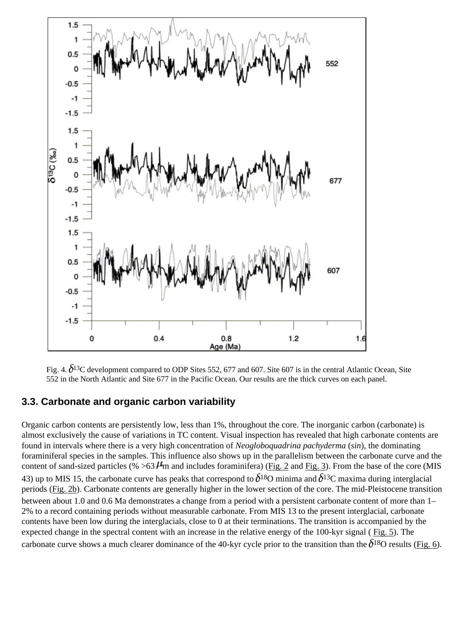

Fig. 4.  $\delta^{13}$ C development compared to ODP Sites 552, 677 and 607. Site 607 is in the central Atlantic Ocean, Site 552 in the North Atlantic and Site 677 in the Pacific Ocean. Our results are the thick curves on each panel.

#### **3.3. Carbonate and organic carbon variability**

Organic carbon contents are persistently low, less than 1%, throughout the core. The inorganic carbon (carbonate) is almost exclusively the cause of variations in TC content. Visual inspection has revealed that high carbonate contents are found in intervals where there is a very high concentration of *Neogloboquadrina pachyderma* (*sin*), the dominating foraminiferal species in the samples. This influence also shows up in the parallelism between the carbonate curve and the content of sand-sized particles (%  $>63$   $\mu$ m and includes foraminifera) ([Fig. 2](#page-0-0) and [Fig. 3\)](#page-0-0). From the base of the core (MIS 43) up to MIS 15, the carbonate curve has peaks that correspond to  $\delta^{18}$ O minima and  $\delta^{13}$ C maxima during interglacial periods ([Fig. 2b](#page-0-0)). Carbonate contents are generally higher in the lower section of the core. The mid-Pleistocene transition between about 1.0 and 0.6 Ma demonstrates a change from a period with a persistent carbonate content of more than 1– 2% to a record containing periods without measurable carbonate. From MIS 13 to the present interglacial, carbonate contents have been low during the interglacials, close to 0 at their terminations. The transition is accompanied by the expected change in the spectral content with an increase in the relative energy of the 100-kyr signal ( [Fig. 5](#page-0-0)). The carbonate curve shows a much clearer dominance of the 40-kyr cycle prior to the transition than the  $\delta^{18}$ O results ([Fig. 6](#page-0-0)).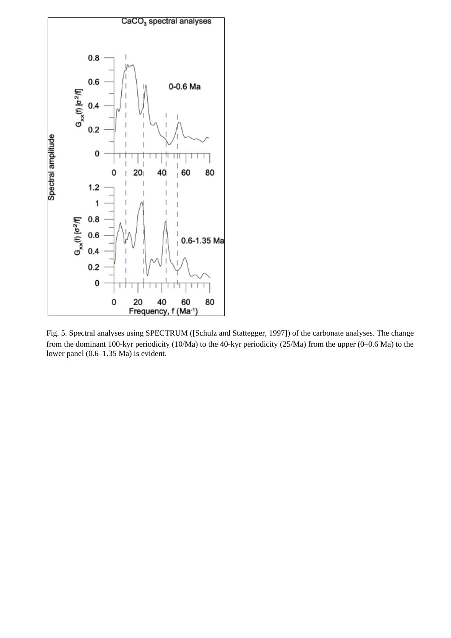

Fig. 5. Spectral analyses using SPECTRUM ([[Schulz and Stattegger, 1997\]](#page-0-0)) of the carbonate analyses. The change from the dominant 100-kyr periodicity (10/Ma) to the 40-kyr periodicity (25/Ma) from the upper (0–0.6 Ma) to the lower panel (0.6–1.35 Ma) is evident.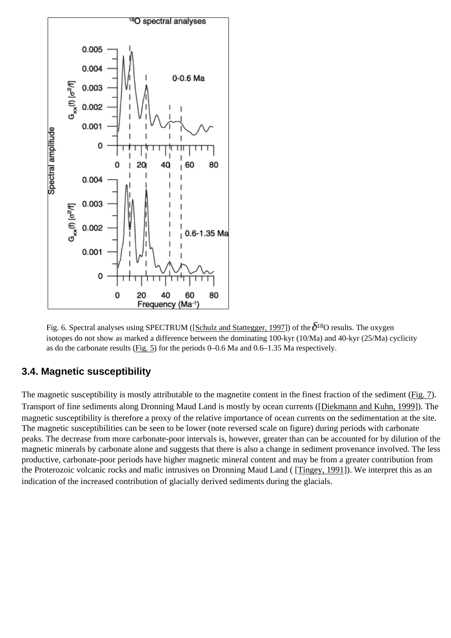

Fig. 6. Spectral analyses using SPECTRUM ([[Schulz and Stattegger, 1997\]](#page-0-0)) of the  $\delta^{18}$ O results. The oxygen isotopes do not show as marked a difference between the dominating 100-kyr (10/Ma) and 40-kyr (25/Ma) cyclicity as do the carbonate results ([Fig. 5](#page-0-0)) for the periods 0–0.6 Ma and 0.6–1.35 Ma respectively.

#### **3.4. Magnetic susceptibility**

The magnetic susceptibility is mostly attributable to the magnetite content in the finest fraction of the sediment [\(Fig. 7](#page-0-0)). Transport of fine sediments along Dronning Maud Land is mostly by ocean currents ([[Diekmann and Kuhn, 1999](#page-0-0)]). The magnetic susceptibility is therefore a proxy of the relative importance of ocean currents on the sedimentation at the site. The magnetic susceptibilities can be seen to be lower (note reversed scale on figure) during periods with carbonate peaks. The decrease from more carbonate-poor intervals is, however, greater than can be accounted for by dilution of the magnetic minerals by carbonate alone and suggests that there is also a change in sediment provenance involved. The less productive, carbonate-poor periods have higher magnetic mineral content and may be from a greater contribution from the Proterozoic volcanic rocks and mafic intrusives on Dronning Maud Land ( [[Tingey, 1991\]](#page-0-0)). We interpret this as an indication of the increased contribution of glacially derived sediments during the glacials.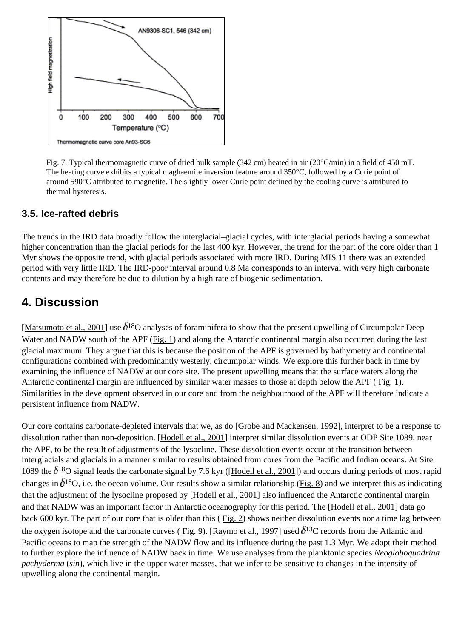

Fig. 7. Typical thermomagnetic curve of dried bulk sample (342 cm) heated in air (20°C/min) in a field of 450 mT. The heating curve exhibits a typical maghaemite inversion feature around 350°C, followed by a Curie point of around 590°C attributed to magnetite. The slightly lower Curie point defined by the cooling curve is attributed to thermal hysteresis.

#### **3.5. Ice-rafted debris**

The trends in the IRD data broadly follow the interglacial–glacial cycles, with interglacial periods having a somewhat higher concentration than the glacial periods for the last 400 kyr. However, the trend for the part of the core older than 1 Myr shows the opposite trend, with glacial periods associated with more IRD. During MIS 11 there was an extended period with very little IRD. The IRD-poor interval around 0.8 Ma corresponds to an interval with very high carbonate contents and may therefore be due to dilution by a high rate of biogenic sedimentation.

### **4. Discussion**

[\[Matsumoto et al., 2001](#page-0-0)] use  $\delta^{18}$ O analyses of foraminifera to show that the present upwelling of Circumpolar Deep Water and NADW south of the APF ([Fig. 1](#page-0-0)) and along the Antarctic continental margin also occurred during the last glacial maximum. They argue that this is because the position of the APF is governed by bathymetry and continental configurations combined with predominantly westerly, circumpolar winds. We explore this further back in time by examining the influence of NADW at our core site. The present upwelling means that the surface waters along the Antarctic continental margin are influenced by similar water masses to those at depth below the APF ( [Fig. 1\)](#page-0-0). Similarities in the development observed in our core and from the neighbourhood of the APF will therefore indicate a persistent influence from NADW.

Our core contains carbonate-depleted intervals that we, as do [\[Grobe and Mackensen, 1992\]](#page-0-0), interpret to be a response to dissolution rather than non-deposition. [[Hodell et al., 2001](#page-0-0)] interpret similar dissolution events at ODP Site 1089, near the APF, to be the result of adjustments of the lysocline. These dissolution events occur at the transition between interglacials and glacials in a manner similar to results obtained from cores from the Pacific and Indian oceans. At Site 1089 the  $\delta^{18}$ O signal leads the carbonate signal by 7.6 kyr ([[Hodell et al., 2001\]](#page-0-0)) and occurs during periods of most rapid changes in  $\delta^{18}$ O, i.e. the ocean volume. Our results show a similar relationship [\(Fig. 8](#page-0-0)) and we interpret this as indicating that the adjustment of the lysocline proposed by [[Hodell et al., 2001](#page-0-0)] also influenced the Antarctic continental margin and that NADW was an important factor in Antarctic oceanography for this period. The [\[Hodell et al., 2001](#page-0-0)] data go back 600 kyr. The part of our core that is older than this ( [Fig. 2](#page-0-0)) shows neither dissolution events nor a time lag between the oxygen isotope and the carbonate curves ([Fig. 9](#page-0-0)). [[Raymo et al., 1997](#page-0-0)] used  $\delta^{13}$ C records from the Atlantic and Pacific oceans to map the strength of the NADW flow and its influence during the past 1.3 Myr. We adopt their method to further explore the influence of NADW back in time. We use analyses from the planktonic species *Neogloboquadrina pachyderma* (*sin*), which live in the upper water masses, that we infer to be sensitive to changes in the intensity of upwelling along the continental margin.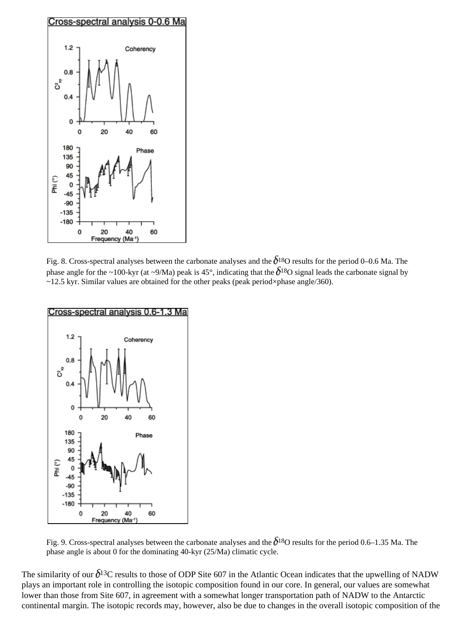

Fig. 8. Cross-spectral analyses between the carbonate analyses and the  $\delta^{18}$ O results for the period 0–0.6 Ma. The phase angle for the ~100-kyr (at ~9/Ma) peak is 45°, indicating that the  $\delta^{18}$ O signal leads the carbonate signal by ~12.5 kyr. Similar values are obtained for the other peaks (peak period×phase angle/360).



Fig. 9. Cross-spectral analyses between the carbonate analyses and the  $\delta^{18}$ O results for the period 0.6–1.35 Ma. The phase angle is about 0 for the dominating 40-kyr (25/Ma) climatic cycle.

The similarity of our  $\delta^{13}$ C results to those of ODP Site 607 in the Atlantic Ocean indicates that the upwelling of NADW plays an important role in controlling the isotopic composition found in our core. In general, our values are somewhat lower than those from Site 607, in agreement with a somewhat longer transportation path of NADW to the Antarctic continental margin. The isotopic records may, however, also be due to changes in the overall isotopic composition of the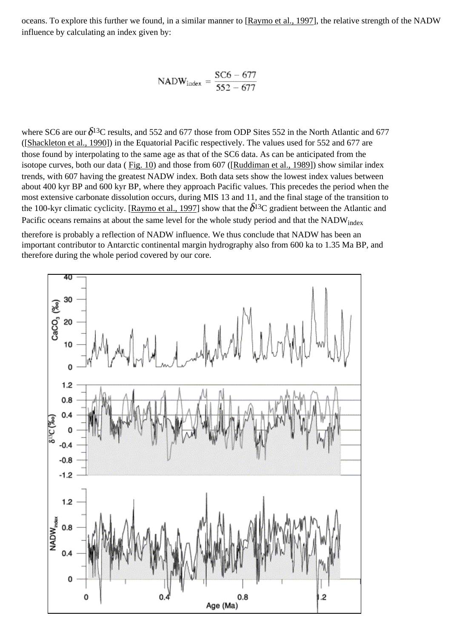oceans. To explore this further we found, in a similar manner to [[Raymo et al., 1997\]](#page-0-0), the relative strength of the NADW influence by calculating an index given by:

$$
NADW_{index} = \frac{SC6 - 677}{552 - 677}
$$

where SC6 are our  $\delta^{13}$ C results, and 552 and 677 those from ODP Sites 552 in the North Atlantic and 677 ([\[Shackleton et al., 1990\]](#page-0-0)) in the Equatorial Pacific respectively. The values used for 552 and 677 are those found by interpolating to the same age as that of the SC6 data. As can be anticipated from the isotope curves, both our data ( [Fig. 10](#page-0-0)) and those from 607 ([[Ruddiman et al., 1989](#page-0-0)]) show similar index trends, with 607 having the greatest NADW index. Both data sets show the lowest index values between about 400 kyr BP and 600 kyr BP, where they approach Pacific values. This precedes the period when the most extensive carbonate dissolution occurs, during MIS 13 and 11, and the final stage of the transition to the 100-kyr climatic cyclicity. [[Raymo et al., 1997\]](#page-0-0) show that the  $\delta^{13}C$  gradient between the Atlantic and Pacific oceans remains at about the same level for the whole study period and that the NADW<sub>index</sub>

therefore is probably a reflection of NADW influence. We thus conclude that NADW has been an important contributor to Antarctic continental margin hydrography also from 600 ka to 1.35 Ma BP, and therefore during the whole period covered by our core.

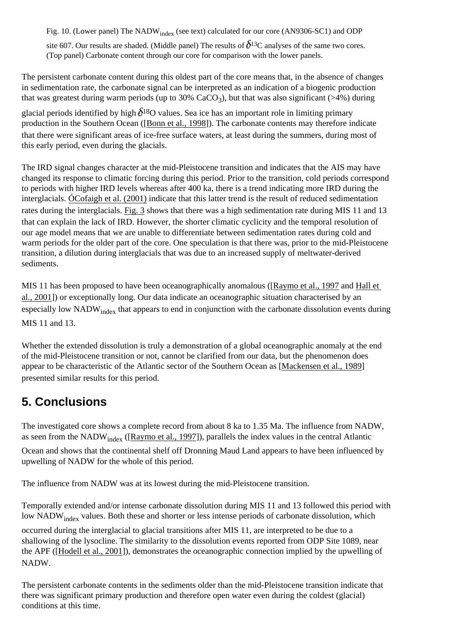Fig. 10. (Lower panel) The NADW<sub>index</sub> (see text) calculated for our core (AN9306-SC1) and ODP site 607. Our results are shaded. (Middle panel) The results of  $\delta^{13}$ C analyses of the same two cores. (Top panel) Carbonate content through our core for comparison with the lower panels.

The persistent carbonate content during this oldest part of the core means that, in the absence of changes in sedimentation rate, the carbonate signal can be interpreted as an indication of a biogenic production that was greatest during warm periods (up to 30%  $CaCO<sub>3</sub>$ ), but that was also significant (>4%) during

glacial periods identified by high  $\delta^{18}$ O values. Sea ice has an important role in limiting primary production in the Southern Ocean ([\[Bonn et al., 1998\]](#page-0-0)). The carbonate contents may therefore indicate that there were significant areas of ice-free surface waters, at least during the summers, during most of this early period, even during the glacials.

The IRD signal changes character at the mid-Pleistocene transition and indicates that the AIS may have changed its response to climatic forcing during this period. Prior to the transition, cold periods correspond to periods with higher IRD levels whereas after 400 ka, there is a trend indicating more IRD during the interglacials. [ÓCofaigh et al. \(2001\)](#page-0-0) indicate that this latter trend is the result of reduced sedimentation rates during the interglacials. [Fig. 3](#page-0-0) shows that there was a high sedimentation rate during MIS 11 and 13 that can explain the lack of IRD. However, the shorter climatic cyclicity and the temporal resolution of our age model means that we are unable to differentiate between sedimentation rates during cold and warm periods for the older part of the core. One speculation is that there was, prior to the mid-Pleistocene transition, a dilution during interglacials that was due to an increased supply of meltwater-derived sediments.

MIS 11 has been proposed to have been oceanographically anomalous ([\[Raymo et al., 1997](#page-0-0) and [Hall et](#page-0-0) [al., 2001](#page-0-0)]) or exceptionally long. Our data indicate an oceanographic situation characterised by an especially low NADW<sub>index</sub> that appears to end in conjunction with the carbonate dissolution events during MIS 11 and 13.

Whether the extended dissolution is truly a demonstration of a global oceanographic anomaly at the end of the mid-Pleistocene transition or not, cannot be clarified from our data, but the phenomenon does appear to be characteristic of the Atlantic sector of the Southern Ocean as [[Mackensen et al., 1989](#page-0-0)] presented similar results for this period.

# **5. Conclusions**

The investigated core shows a complete record from about 8 ka to 1.35 Ma. The influence from NADW, as seen from the NADWindex ([\[Raymo et al., 1997\]](#page-0-0)), parallels the index values in the central Atlantic Ocean and shows that the continental shelf off Dronning Maud Land appears to have been influenced by upwelling of NADW for the whole of this period.

The influence from NADW was at its lowest during the mid-Pleistocene transition.

Temporally extended and/or intense carbonate dissolution during MIS 11 and 13 followed this period with low NADW<sub>index</sub> values. Both these and shorter or less intense periods of carbonate dissolution, which

occurred during the interglacial to glacial transitions after MIS 11, are interpreted to be due to a shallowing of the lysocline. The similarity to the dissolution events reported from ODP Site 1089, near the APF ([[Hodell et al., 2001\]](#page-0-0)), demonstrates the oceanographic connection implied by the upwelling of NADW.

The persistent carbonate contents in the sediments older than the mid-Pleistocene transition indicate that there was significant primary production and therefore open water even during the coldest (glacial) conditions at this time.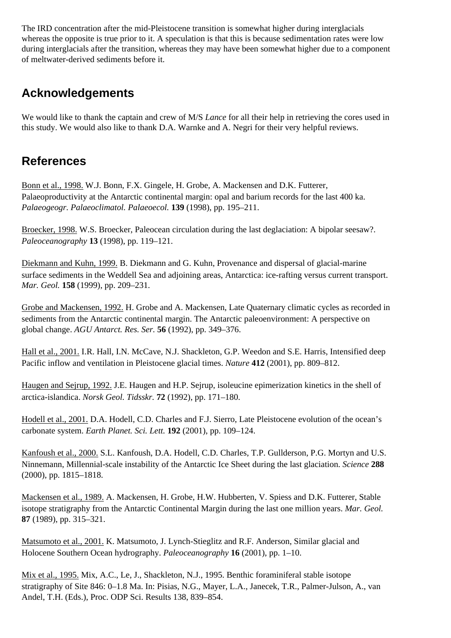The IRD concentration after the mid-Pleistocene transition is somewhat higher during interglacials whereas the opposite is true prior to it. A speculation is that this is because sedimentation rates were low during interglacials after the transition, whereas they may have been somewhat higher due to a component of meltwater-derived sediments before it.

### **Acknowledgements**

We would like to thank the captain and crew of M/S *Lance* for all their help in retrieving the cores used in this study. We would also like to thank D.A. Warnke and A. Negri for their very helpful reviews.

## **References**

[Bonn et al., 1998.](#page-0-0) W.J. Bonn, F.X. Gingele, H. Grobe, A. Mackensen and D.K. Futterer, Palaeoproductivity at the Antarctic continental margin: opal and barium records for the last 400 ka. *Palaeogeogr. Palaeoclimatol. Palaeoecol.* **139** (1998), pp. 195–211.

[Broecker, 1998.](#page-0-0) W.S. Broecker, Paleocean circulation during the last deglaciation: A bipolar seesaw?. *Paleoceanography* **13** (1998), pp. 119–121.

[Diekmann and Kuhn, 1999.](#page-0-0) B. Diekmann and G. Kuhn, Provenance and dispersal of glacial-marine surface sediments in the Weddell Sea and adjoining areas, Antarctica: ice-rafting versus current transport. *Mar. Geol.* **158** (1999), pp. 209–231.

[Grobe and Mackensen, 1992.](#page-0-0) H. Grobe and A. Mackensen, Late Quaternary climatic cycles as recorded in sediments from the Antarctic continental margin. The Antarctic paleoenvironment: A perspective on global change. *AGU Antarct. Res. Ser.* **56** (1992), pp. 349–376.

[Hall et al., 2001.](#page-0-0) I.R. Hall, I.N. McCave, N.J. Shackleton, G.P. Weedon and S.E. Harris, Intensified deep Pacific inflow and ventilation in Pleistocene glacial times. *Nature* **412** (2001), pp. 809–812.

[Haugen and Sejrup, 1992.](#page-0-0) J.E. Haugen and H.P. Sejrup, isoleucine epimerization kinetics in the shell of arctica-islandica. *Norsk Geol. Tidsskr.* **72** (1992), pp. 171–180.

[Hodell et al., 2001.](#page-0-0) D.A. Hodell, C.D. Charles and F.J. Sierro, Late Pleistocene evolution of the ocean's carbonate system. *Earth Planet. Sci. Lett.* **192** (2001), pp. 109–124.

[Kanfoush et al., 2000.](#page-0-0) S.L. Kanfoush, D.A. Hodell, C.D. Charles, T.P. Gullderson, P.G. Mortyn and U.S. Ninnemann, Millennial-scale instability of the Antarctic Ice Sheet during the last glaciation. *Science* **288** (2000), pp. 1815–1818.

[Mackensen et al., 1989.](#page-0-0) A. Mackensen, H. Grobe, H.W. Hubberten, V. Spiess and D.K. Futterer, Stable isotope stratigraphy from the Antarctic Continental Margin during the last one million years. *Mar. Geol.* **87** (1989), pp. 315–321.

[Matsumoto et al., 2001.](#page-0-0) K. Matsumoto, J. Lynch-Stieglitz and R.F. Anderson, Similar glacial and Holocene Southern Ocean hydrography. *Paleoceanography* **16** (2001), pp. 1–10.

[Mix et al., 1995.](#page-0-0) Mix, A.C., Le, J., Shackleton, N.J., 1995. Benthic foraminiferal stable isotope stratigraphy of Site 846: 0–1.8 Ma. In: Pisias, N.G., Mayer, L.A., Janecek, T.R., Palmer-Julson, A., van Andel, T.H. (Eds.), Proc. ODP Sci. Results 138, 839–854.